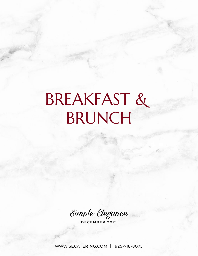# BREAKFAST & BRUNCH

Simple Elegance

DECEMBER 2021

[WWW.SECATERING.COM](http://www.secatering.com/) | 925-718-8075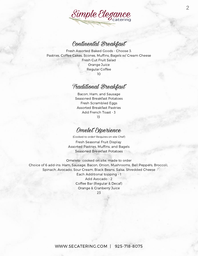

#### Continental Breakfast

Fresh Assorted Baked Goods - Choose 3: Pastries, Coffee Cakes, Scones, Muffins, Bagels w/ Cream Cheese Fresh Cut Fruit Salad Orange Juice Regular Coffee 10

#### Traditional Breakfast

Bacon, Ham, and Sausage Seasoned Breakfast Potatoes Fresh Scrambled Eggs Assorted Breakfast Pastries Add French Toast - 3 13

#### Omelet Experience

(Cooked to order! Requires on-site Chef)

Fresh Seasonal Fruit Display Assorted Pastries, Muffins, and Bagels Seasoned Breakfast Potatoes

Omelets- cooked on site, made to order Choice of 6 add-ins: Ham, Sausage, Bacon, Onion, Mushrooms, Bell Peppers, Broccoli, Spinach, Avocado, Sour Cream, Black Beans, Salsa, Shredded Cheese Each Additional topping - 1 Add Avocado - 2 Coffee Bar (Regular & Decaf) Orange & Cranberry Juice

23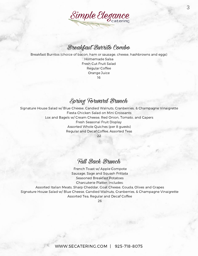

#### Breakfast Burrito Combo

Breakfast Burritos (choice of bacon, ham or sausage, cheese, hashbrowns and eggs) Homemade Salsa Fresh Cut Fruit Salad

Regular Coffee Orange Juice 16

#### Spring Forward Brunch

Signature House Salad w/ Blue Cheese, Candied Walnuts, Cranberries, & Champagne Vinaigrette Fiesta Chicken Salad on Mini Croissants Lox and Bagels w/ Cream Cheese, Red Onion, Tomato, and Capers Fresh Seasonal Fruit Display Assorted Whole Quiches (per 8 guests) Regular and Decaf Coffee, Assorted Teas

22

#### Fall Back Brunch

French Toast w/ Apple Compote Sausage, Sage and Squash Frittata Seasoned Breakfast Potatoes Charcuterie Platter, Includes:

Assorted Italian Meats, Sharp Cheddar, Goat Cheese, Gouda, Olives and Grapes Signature House Salad w/ Blue Cheese, Candied Walnuts, Cranberries, & Champagne Vinaigrette Assorted Tea, Regular and Decaf Coffee

26